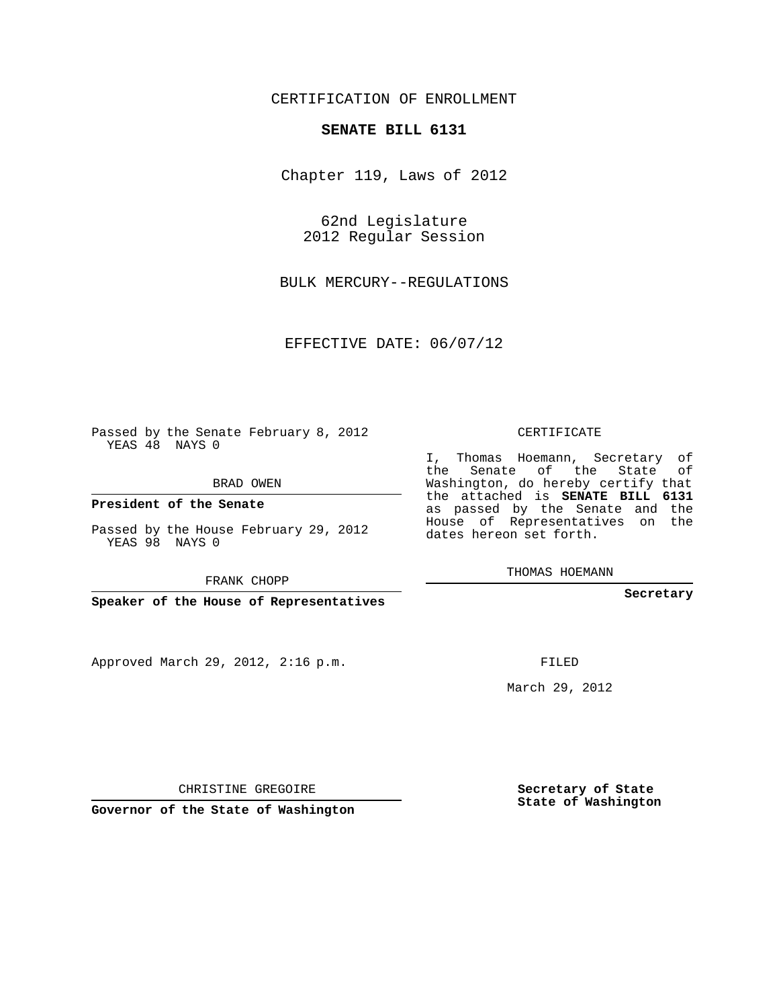## CERTIFICATION OF ENROLLMENT

## **SENATE BILL 6131**

Chapter 119, Laws of 2012

62nd Legislature 2012 Regular Session

BULK MERCURY--REGULATIONS

EFFECTIVE DATE: 06/07/12

Passed by the Senate February 8, 2012 YEAS 48 NAYS 0

BRAD OWEN

**President of the Senate**

Passed by the House February 29, 2012 YEAS 98 NAYS 0

FRANK CHOPP

**Speaker of the House of Representatives**

Approved March 29, 2012, 2:16 p.m.

CERTIFICATE

I, Thomas Hoemann, Secretary of the Senate of the State of Washington, do hereby certify that the attached is **SENATE BILL 6131** as passed by the Senate and the House of Representatives on the dates hereon set forth.

THOMAS HOEMANN

**Secretary**

FILED

March 29, 2012

**Secretary of State State of Washington**

CHRISTINE GREGOIRE

**Governor of the State of Washington**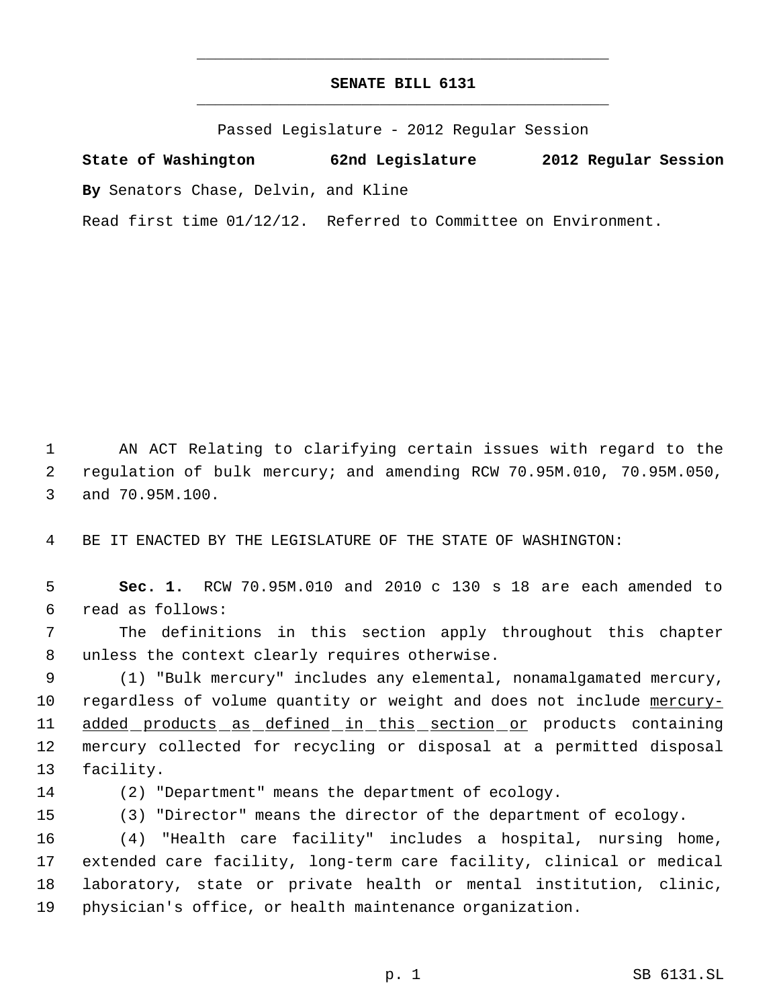## **SENATE BILL 6131** \_\_\_\_\_\_\_\_\_\_\_\_\_\_\_\_\_\_\_\_\_\_\_\_\_\_\_\_\_\_\_\_\_\_\_\_\_\_\_\_\_\_\_\_\_

\_\_\_\_\_\_\_\_\_\_\_\_\_\_\_\_\_\_\_\_\_\_\_\_\_\_\_\_\_\_\_\_\_\_\_\_\_\_\_\_\_\_\_\_\_

Passed Legislature - 2012 Regular Session

**State of Washington 62nd Legislature 2012 Regular Session By** Senators Chase, Delvin, and Kline

Read first time 01/12/12. Referred to Committee on Environment.

 AN ACT Relating to clarifying certain issues with regard to the regulation of bulk mercury; and amending RCW 70.95M.010, 70.95M.050, and 70.95M.100.

BE IT ENACTED BY THE LEGISLATURE OF THE STATE OF WASHINGTON:

 **Sec. 1.** RCW 70.95M.010 and 2010 c 130 s 18 are each amended to read as follows:

 The definitions in this section apply throughout this chapter unless the context clearly requires otherwise.

 (1) "Bulk mercury" includes any elemental, nonamalgamated mercury, 10 regardless of volume quantity or weight and does not include mercury-11 added products as defined in this section or products containing mercury collected for recycling or disposal at a permitted disposal facility.

(2) "Department" means the department of ecology.

(3) "Director" means the director of the department of ecology.

 (4) "Health care facility" includes a hospital, nursing home, extended care facility, long-term care facility, clinical or medical laboratory, state or private health or mental institution, clinic, physician's office, or health maintenance organization.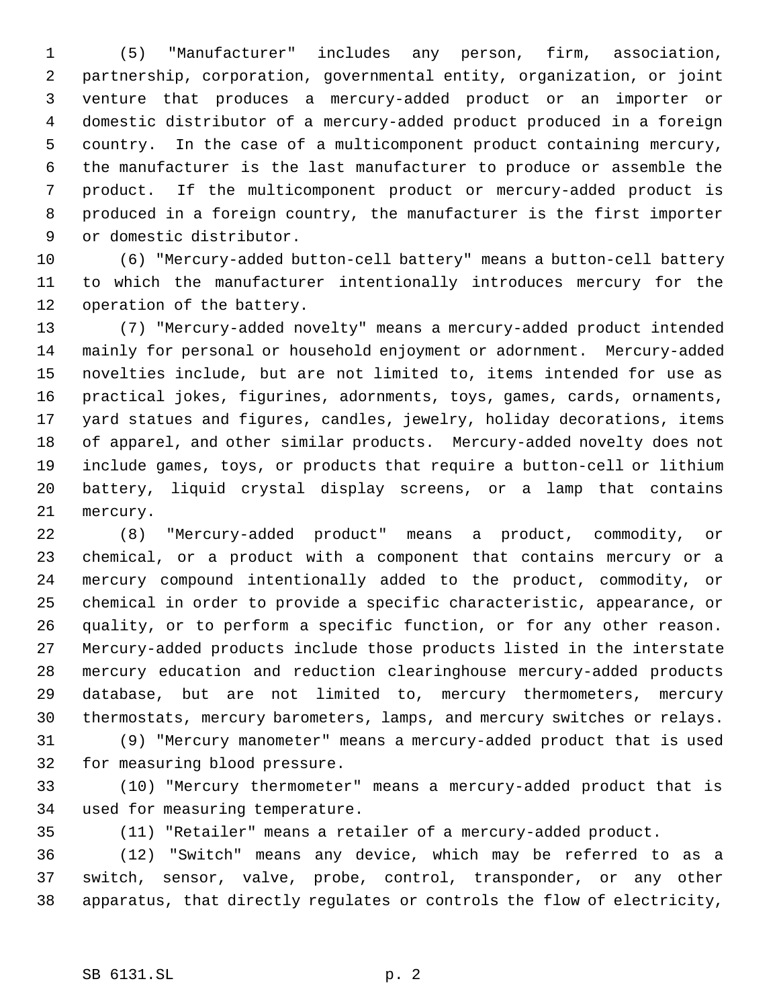(5) "Manufacturer" includes any person, firm, association, partnership, corporation, governmental entity, organization, or joint venture that produces a mercury-added product or an importer or domestic distributor of a mercury-added product produced in a foreign country. In the case of a multicomponent product containing mercury, the manufacturer is the last manufacturer to produce or assemble the product. If the multicomponent product or mercury-added product is produced in a foreign country, the manufacturer is the first importer or domestic distributor.

 (6) "Mercury-added button-cell battery" means a button-cell battery to which the manufacturer intentionally introduces mercury for the operation of the battery.

 (7) "Mercury-added novelty" means a mercury-added product intended mainly for personal or household enjoyment or adornment. Mercury-added novelties include, but are not limited to, items intended for use as practical jokes, figurines, adornments, toys, games, cards, ornaments, yard statues and figures, candles, jewelry, holiday decorations, items of apparel, and other similar products. Mercury-added novelty does not include games, toys, or products that require a button-cell or lithium battery, liquid crystal display screens, or a lamp that contains mercury.

 (8) "Mercury-added product" means a product, commodity, or chemical, or a product with a component that contains mercury or a mercury compound intentionally added to the product, commodity, or chemical in order to provide a specific characteristic, appearance, or quality, or to perform a specific function, or for any other reason. Mercury-added products include those products listed in the interstate mercury education and reduction clearinghouse mercury-added products database, but are not limited to, mercury thermometers, mercury thermostats, mercury barometers, lamps, and mercury switches or relays.

 (9) "Mercury manometer" means a mercury-added product that is used for measuring blood pressure.

 (10) "Mercury thermometer" means a mercury-added product that is used for measuring temperature.

(11) "Retailer" means a retailer of a mercury-added product.

 (12) "Switch" means any device, which may be referred to as a switch, sensor, valve, probe, control, transponder, or any other apparatus, that directly regulates or controls the flow of electricity,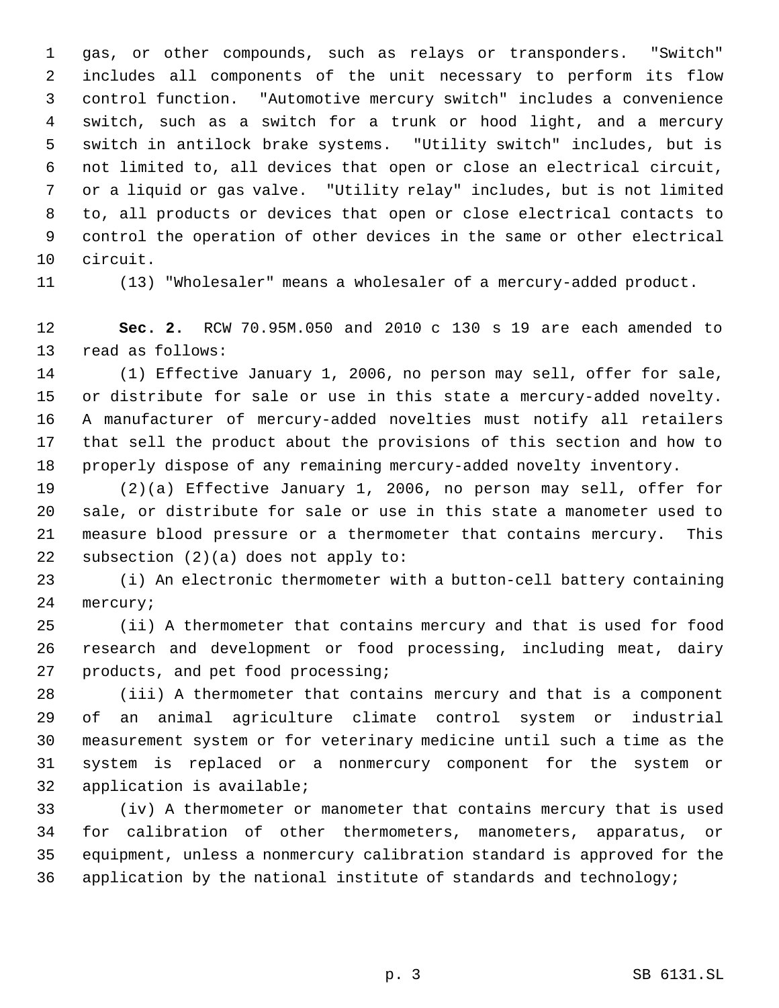gas, or other compounds, such as relays or transponders. "Switch" includes all components of the unit necessary to perform its flow control function. "Automotive mercury switch" includes a convenience switch, such as a switch for a trunk or hood light, and a mercury switch in antilock brake systems. "Utility switch" includes, but is not limited to, all devices that open or close an electrical circuit, or a liquid or gas valve. "Utility relay" includes, but is not limited to, all products or devices that open or close electrical contacts to control the operation of other devices in the same or other electrical circuit.

(13) "Wholesaler" means a wholesaler of a mercury-added product.

 **Sec. 2.** RCW 70.95M.050 and 2010 c 130 s 19 are each amended to read as follows:

 (1) Effective January 1, 2006, no person may sell, offer for sale, or distribute for sale or use in this state a mercury-added novelty. A manufacturer of mercury-added novelties must notify all retailers that sell the product about the provisions of this section and how to properly dispose of any remaining mercury-added novelty inventory.

 (2)(a) Effective January 1, 2006, no person may sell, offer for sale, or distribute for sale or use in this state a manometer used to measure blood pressure or a thermometer that contains mercury. This subsection (2)(a) does not apply to:

 (i) An electronic thermometer with a button-cell battery containing mercury;

 (ii) A thermometer that contains mercury and that is used for food research and development or food processing, including meat, dairy products, and pet food processing;

 (iii) A thermometer that contains mercury and that is a component of an animal agriculture climate control system or industrial measurement system or for veterinary medicine until such a time as the system is replaced or a nonmercury component for the system or application is available;

 (iv) A thermometer or manometer that contains mercury that is used for calibration of other thermometers, manometers, apparatus, or equipment, unless a nonmercury calibration standard is approved for the application by the national institute of standards and technology;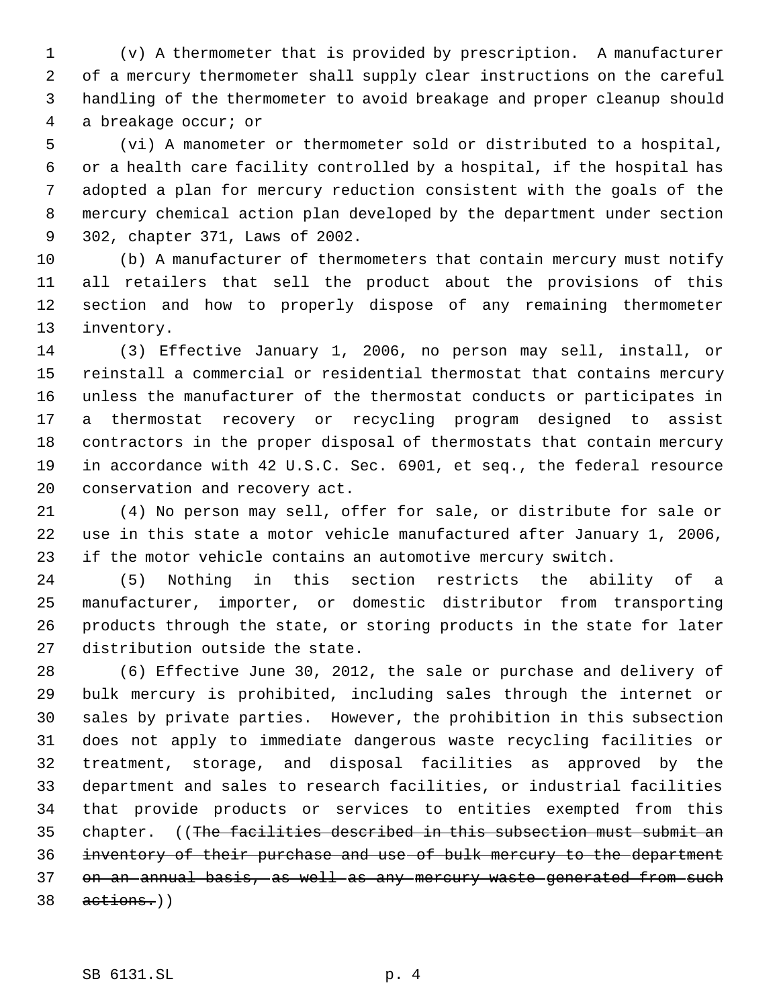(v) A thermometer that is provided by prescription. A manufacturer of a mercury thermometer shall supply clear instructions on the careful handling of the thermometer to avoid breakage and proper cleanup should a breakage occur; or

 (vi) A manometer or thermometer sold or distributed to a hospital, or a health care facility controlled by a hospital, if the hospital has adopted a plan for mercury reduction consistent with the goals of the mercury chemical action plan developed by the department under section 302, chapter 371, Laws of 2002.

 (b) A manufacturer of thermometers that contain mercury must notify all retailers that sell the product about the provisions of this section and how to properly dispose of any remaining thermometer inventory.

 (3) Effective January 1, 2006, no person may sell, install, or reinstall a commercial or residential thermostat that contains mercury unless the manufacturer of the thermostat conducts or participates in a thermostat recovery or recycling program designed to assist contractors in the proper disposal of thermostats that contain mercury in accordance with 42 U.S.C. Sec. 6901, et seq., the federal resource conservation and recovery act.

 (4) No person may sell, offer for sale, or distribute for sale or use in this state a motor vehicle manufactured after January 1, 2006, if the motor vehicle contains an automotive mercury switch.

 (5) Nothing in this section restricts the ability of a manufacturer, importer, or domestic distributor from transporting products through the state, or storing products in the state for later distribution outside the state.

 (6) Effective June 30, 2012, the sale or purchase and delivery of bulk mercury is prohibited, including sales through the internet or sales by private parties. However, the prohibition in this subsection does not apply to immediate dangerous waste recycling facilities or treatment, storage, and disposal facilities as approved by the department and sales to research facilities, or industrial facilities that provide products or services to entities exempted from this chapter. ((The facilities described in this subsection must submit an inventory of their purchase and use of bulk mercury to the department 37 on an annual basis, as well as any mercury waste generated from such actions.))